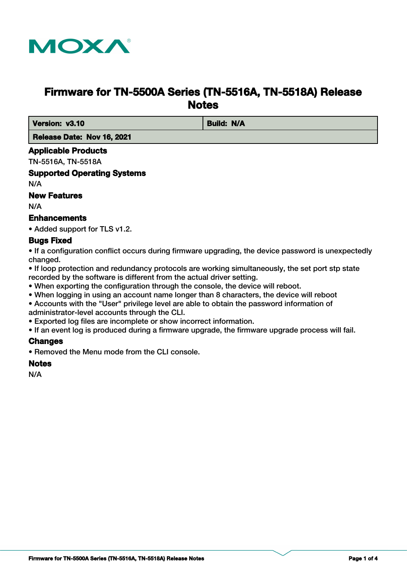

# **Firmware for TN-5500A Series (TN-5516A, TN-5518A) Release Notes**

*Version: v3.10* **Build: N/A** 

 **Release Date: Nov 16, 2021**

#### **Applicable Products**

TN-5516A, TN-5518A

## **Supported Operating Systems**

N/A

#### **New Features**

N/A

### **Enhancements**

• Added support for TLS v1.2.

### **Bugs Fixed**

• If a configuration conflict occurs during firmware upgrading, the device password is unexpectedly changed.

• If loop protection and redundancy protocols are working simultaneously, the set port stp state recorded by the software is different from the actual driver setting.

- When exporting the configuration through the console, the device will reboot.
- When logging in using an account name longer than 8 characters, the device will reboot
- Accounts with the "User" privilege level are able to obtain the password information of administrator-level accounts through the CLI.
- Exported log files are incomplete or show incorrect information.
- If an event log is produced during a firmware upgrade, the firmware upgrade process will fail.

### **Changes**

• Removed the Menu mode from the CLI console.

### **Notes**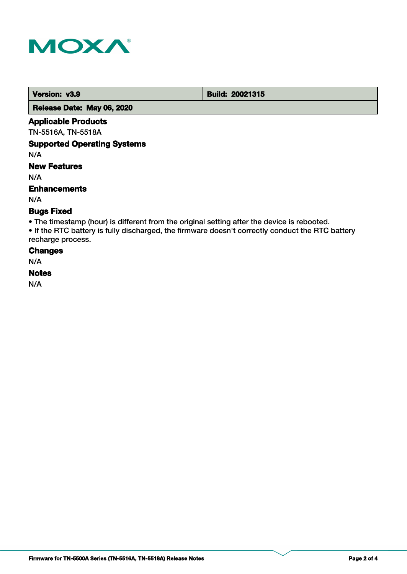

**Version: v3.9 Build: 20021315** 

 **Release Date: May 06, 2020**

#### **Applicable Products**

TN-5516A, TN-5518A

### **Supported Operating Systems**

N/A

### **New Features**

N/A

#### **Enhancements**

N/A

### **Bugs Fixed**

• The timestamp (hour) is different from the original setting after the device is rebooted.

• If the RTC battery is fully discharged, the firmware doesn't correctly conduct the RTC battery recharge process.

### **Changes**

N/A

### **Notes**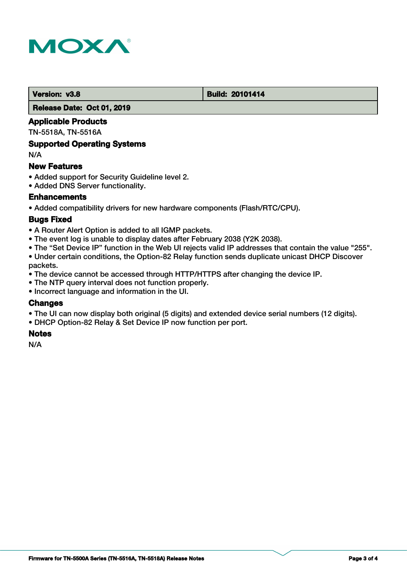

#### **Version: v3.8 Build: 20101414**

 **Release Date: Oct 01, 2019**

### **Applicable Products**

TN-5518A, TN-5516A

#### **Supported Operating Systems**

N/A

#### **New Features**

- Added support for Security Guideline level 2.
- Added DNS Server functionality.

### **Enhancements**

• Added compatibility drivers for new hardware components (Flash/RTC/CPU).

### **Bugs Fixed**

- A Router Alert Option is added to all IGMP packets.
- The event log is unable to display dates after February 2038 (Y2K 2038).
- The "Set Device IP" function in the Web UI rejects valid IP addresses that contain the value "255".

• Under certain conditions, the Option-82 Relay function sends duplicate unicast DHCP Discover packets.

- The device cannot be accessed through HTTP/HTTPS after changing the device IP.
- The NTP query interval does not function properly.
- Incorrect language and information in the UI.

### **Changes**

- The UI can now display both original (5 digits) and extended device serial numbers (12 digits).
- DHCP Option-82 Relay & Set Device IP now function per port.

#### **Notes**